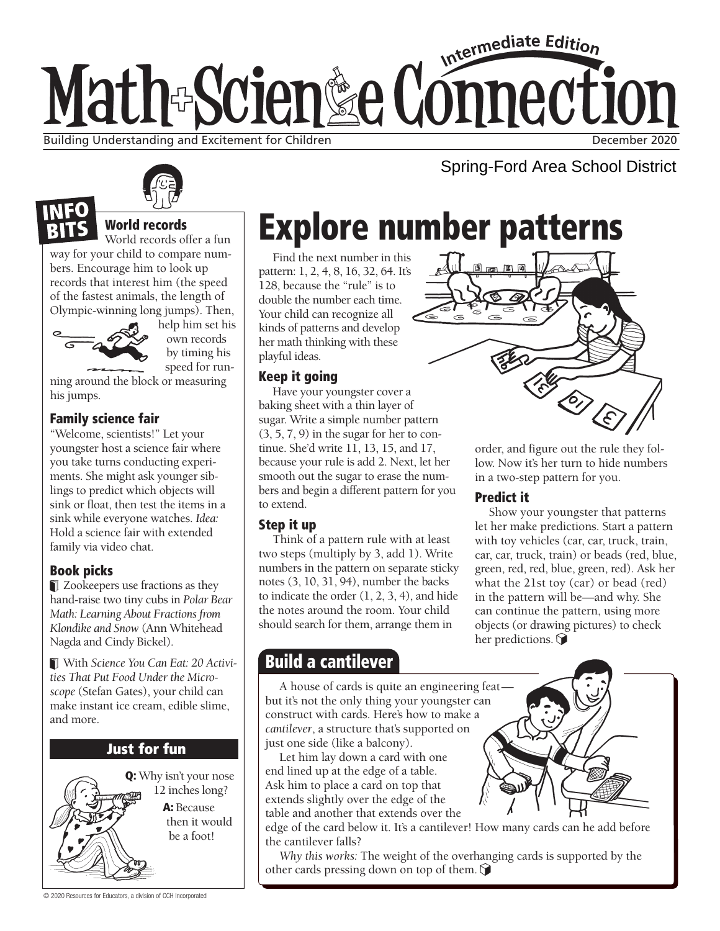# Intermediate Edition Math-Scien&e Connection Building Understanding and Excitement for Children December 2020 and December 2020

Spring-Ford Area School District



# World records

World records offer a fun way for your child to compare numbers. Encourage him to look up records that interest him (the speed of the fastest animals, the length of Olympic-winning long jumps). Then,



help him set his own records by timing his speed for run-

ning around the block or measuring his jumps.

### Family science fair

"Welcome, scientists!" Let your youngster host a science fair where you take turns conducting experiments. She might ask younger siblings to predict which objects will sink or float, then test the items in a sink while everyone watches. *Idea:* Hold a science fair with extended family via video chat.

# Book picks

**Zookeepers use fractions as they** hand-raise two tiny cubs in *Polar Bear Math: Learning About Fractions from Klondike and Snow* (Ann Whitehead Nagda and Cindy Bickel).

With *Science You Can Eat: 20 Activities That Put Food Under the Microscope* (Stefan Gates), your child can make instant ice cream, edible slime, and more.

# Just for fun

Q: Why isn't your nose 12 inches long? A: Because then it would be a foot!

Explore number patterns

Find the next number in this pattern: 1, 2, 4, 8, 16, 32, 64. It's 128, because the "rule" is to double the number each time. Your child can recognize all kinds of patterns and develop her math thinking with these playful ideas.

### Keep it going

Have your youngster cover a baking sheet with a thin layer of sugar. Write a simple number pattern  $(3, 5, 7, 9)$  in the sugar for her to continue. She'd write 11, 13, 15, and 17, because your rule is add 2. Next, let her smooth out the sugar to erase the numbers and begin a different pattern for you to extend.

#### Step it up

Think of a pattern rule with at least two steps (multiply by 3, add 1). Write numbers in the pattern on separate sticky notes (3, 10, 31, 94), number the backs to indicate the order (1, 2, 3, 4), and hide the notes around the room. Your child should search for them, arrange them in

# Build a cantilever

A house of cards is quite an engineering feat but it's not the only thing your youngster can construct with cards. Here's how to make a *cantilever*, a structure that's supported on just one side (like a balcony).

Let him lay down a card with one end lined up at the edge of a table. Ask him to place a card on top that extends slightly over the edge of the table and another that extends over the

edge of the card below it. It's a cantilever! How many cards can he add before the cantilever falls?

*Why this works:* The weight of the overhanging cards is supported by the other cards pressing down on top of them.  $\bigcirc$ 



order, and figure out the rule they follow. Now it's her turn to hide numbers in a two-step pattern for you.

# Predict it

Show your youngster that patterns let her make predictions. Start a pattern with toy vehicles (car, car, truck, train, car, car, truck, train) or beads (red, blue, green, red, red, blue, green, red). Ask her what the 21st toy (car) or bead (red) in the pattern will be—and why. She can continue the pattern, using more objects (or drawing pictures) to check her predictions.  $\bigcirc$